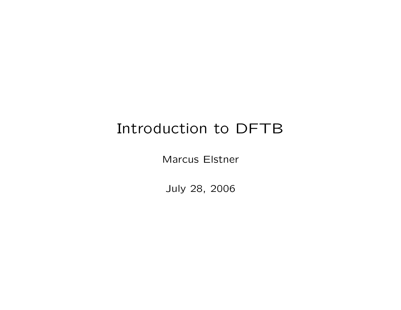## Introduction to DFTB

Marcus Elstner

July 28, 2006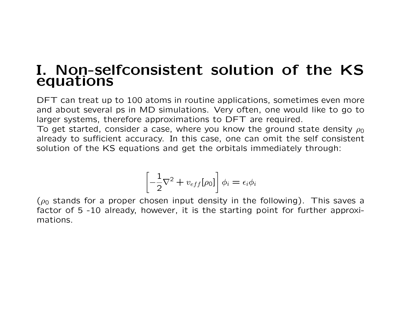## I. Non-selfconsistent solution of the KS equations

DFT can treat up to 100 atoms in routine applications, sometimes even more and about several ps in MD simulations. Very often, one would like to go to larger systems, therefore approximations to DFT are required.

To get started, consider a case, where you know the ground state density  $\rho_0$ already to sufficient accuracy. In this case, one can omit the self consistent solution of the KS equations and get the orbitals immediately through:

$$
\left[-\frac{1}{2}\nabla^2 + v_{eff}[\rho_0]\right]\phi_i = \epsilon_i \phi_i
$$

( $\rho_0$  stands for a proper chosen input density in the following). This saves a factor of 5 -10 already, however, it is the starting point for further approximations.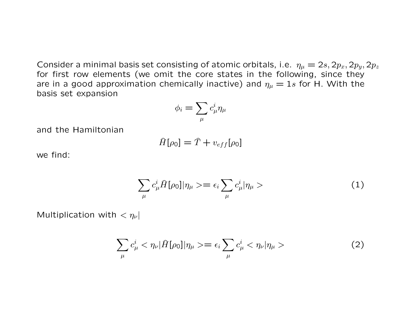Consider a minimal basis set consisting of atomic orbitals, i.e.  $\eta_{\mu} = 2s, 2p_x, 2p_y, 2p_z$ for first row elements (we omit the core states in the following, since they are in a good approximation chemically inactive) and  $\eta_{\mu} = 1s$  for H. With the basis set expansion

$$
\phi_i = \sum_\mu c^i_\mu \eta_\mu
$$

and the Hamiltonian

$$
\widehat{H}[\rho_0] = \widehat{T} + v_{eff}[\rho_0]
$$

we find:

$$
\sum_{\mu} c_{\mu}^{i} \hat{H}[\rho_0] |\eta_{\mu}\rangle = \epsilon_i \sum_{\mu} c_{\mu}^{i} |\eta_{\mu}\rangle \tag{1}
$$

Multiplication with  $< \eta_{\nu}$ 

$$
\sum_{\mu} c_{\mu}^{i} < \eta_{\nu} |\hat{H}[\rho_{0}]|\eta_{\mu} > = \epsilon_{i} \sum_{\mu} c_{\mu}^{i} < \eta_{\nu} |\eta_{\mu} > \tag{2}
$$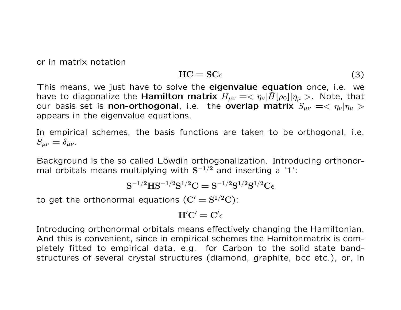or in matrix notation

$$
HC = SC\epsilon \tag{3}
$$

This means, we just have to solve the eigenvalue equation once, i.e. we have to diagonalize the **Hamilton matrix**  $H_{\mu\nu} = \langle \eta_{\nu} | \hat{H}[\rho_0] | \eta_{\mu} \rangle$ . Note, that our basis set is non-orthogonal, i.e. the overlap matrix  $S_{\mu\nu} = \langle \eta_{\nu} | \eta_{\mu} \rangle$ appears in the eigenvalue equations.

In empirical schemes, the basis functions are taken to be orthogonal, i.e.  $S_{\mu\nu} = \delta_{\mu\nu}$ .

Background is the so called Löwdin orthogonalization. Introducing orthonormal orbitals means multiplying with  $S^{-1/2}$  and inserting a '1':

$$
S^{-1/2}HS^{-1/2}S^{1/2}C = S^{-1/2}S^{1/2}S^{1/2}C\epsilon
$$

to get the orthonormal equations  $(\mathrm{C}^{\prime}=\mathrm{S}^{1/2}\mathrm{C})$ :

$$
H'C'=C'\epsilon
$$

Introducing orthonormal orbitals means effectively changing the Hamiltonian. And this is convenient, since in empirical schemes the Hamitonmatrix is completely fitted to empirical data, e.g. for Carbon to the solid state bandstructures of several crystal structures (diamond, graphite, bcc etc.), or, in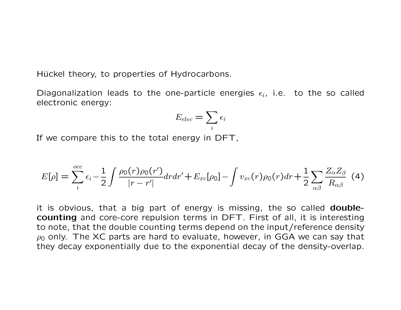Hückel theory, to properties of Hydrocarbons.

Diagonalization leads to the one-particle energies  $\epsilon_i$ , i.e. to the so called electronic energy:

$$
E_{elec} = \sum_i \epsilon_i
$$

If we compare this to the total energy in DFT,

$$
E[\rho] = \sum_{i}^{occ} \epsilon_{i} - \frac{1}{2} \int \frac{\rho_{0}(r)\rho_{0}(r')}{|r - r'|} dr dr' + E_{xc}[\rho_{0}] - \int v_{xc}(r)\rho_{0}(r) dr + \frac{1}{2} \sum_{\alpha\beta} \frac{Z_{\alpha}Z_{\beta}}{R_{\alpha\beta}} \tag{4}
$$

it is obvious, that a big part of energy is missing, the so called **double**counting and core-core repulsion terms in DFT. First of all, it is interesting to note, that the double counting terms depend on the input/reference density  $\rho_0$  only. The XC parts are hard to evaluate, however, in GGA we can say that they decay exponentially due to the exponential decay of the density-overlap.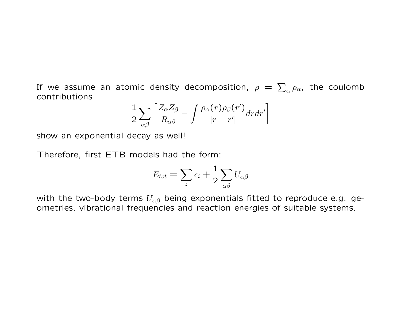If we assume an atomic density decomposition,  $\rho\,=\,\sum_{\alpha}\rho_{\alpha}$ , the coulomb contributions

$$
\frac{1}{2}\sum_{\alpha\beta}\left[\frac{Z_{\alpha}Z_{\beta}}{R_{\alpha\beta}}-\int\frac{\rho_{\alpha}(r)\rho_{\beta}(r')}{|r-r'|}drdr'\right]
$$

show an exponential decay as well!

Therefore, first ETB models had the form:

$$
E_{tot} = \sum_{i} \epsilon_i + \frac{1}{2} \sum_{\alpha \beta} U_{\alpha \beta}
$$

with the two-body terms  $U_{\alpha\beta}$  being exponentials fitted to reproduce e.g. geometries, vibrational frequencies and reaction energies of suitable systems.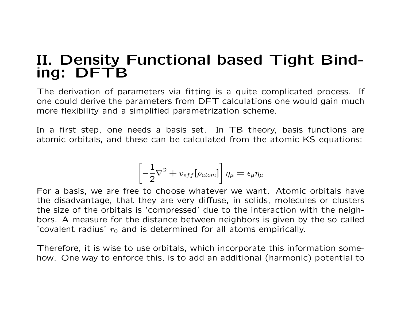## II. Density Functional based Tight Binding: DFTB

The derivation of parameters via fitting is a quite complicated process. If one could derive the parameters from DFT calculations one would gain much more flexibility and a simplified parametrization scheme.

In a first step, one needs a basis set. In TB theory, basis functions are atomic orbitals, and these can be calculated from the atomic KS equations:

$$
\left[-\frac{1}{2}\nabla^2 + v_{eff}[\rho_{atom}] \right] \eta_{\mu} = \epsilon_{\mu} \eta_{\mu}
$$

For a basis, we are free to choose whatever we want. Atomic orbitals have the disadvantage, that they are very diffuse, in solids, molecules or clusters the size of the orbitals is 'compressed' due to the interaction with the neighbors. A measure for the distance between neighbors is given by the so called 'covalent radius'  $r_0$  and is determined for all atoms empirically.

Therefore, it is wise to use orbitals, which incorporate this information somehow. One way to enforce this, is to add an additional (harmonic) potential to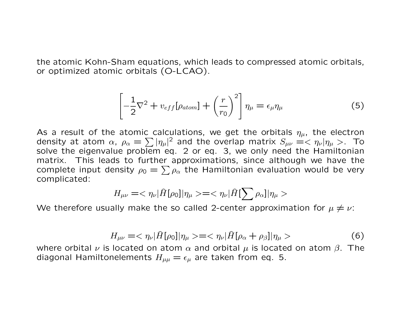the atomic Kohn-Sham equations, which leads to compressed atomic orbitals, or optimized atomic orbitals (O-LCAO).

$$
\left[-\frac{1}{2}\nabla^2 + v_{eff}[\rho_{atom}] + \left(\frac{r}{r_0}\right)^2\right]\eta_{\mu} = \epsilon_{\mu}\eta_{\mu}
$$
\n(5)

As a result of the atomic calculations, we get the orbitals  $\eta_{\mu}$ , the electron density at atom  $\alpha$ ,  $\rho_\alpha = \sum |\eta_\mu|^2$  and the overlap matrix  $S_{\mu\nu} = < \eta_\nu |\eta_\mu>$ . To solve the eigenvalue problem eq. 2 or eq. 3, we only need the Hamiltonian matrix. This leads to further approximations, since although we have the complete input density  $\rho_0 = \sum \rho_\alpha$  the Hamiltonian evaluation would be very complicated:

$$
H_{\mu\nu} = \langle \eta_{\nu} | \hat{H}[\rho_0] | \eta_{\mu} \rangle = \langle \eta_{\nu} | \hat{H}[\sum \rho_{\alpha}] | \eta_{\mu} \rangle
$$

We therefore usually make the so called 2-center approximation for  $\mu \neq \nu$ :

$$
H_{\mu\nu} = \langle \eta_{\nu} | \hat{H}[\rho_0] | \eta_{\mu} \rangle = \langle \eta_{\nu} | \hat{H}[\rho_{\alpha} + \rho_{\beta}] | \eta_{\mu} \rangle \tag{6}
$$

where orbital  $\nu$  is located on atom  $\alpha$  and orbital  $\mu$  is located on atom  $\beta$ . The diagonal Hamiltonelements  $H_{\mu\mu} = \epsilon_{\mu}$  are taken from eq. 5.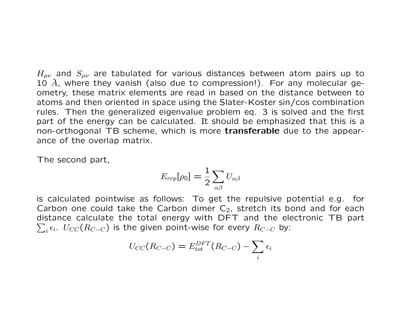$H_{\mu\nu}$  and  $S_{\mu\nu}$  are tabulated for various distances between atom pairs up to 10  $\AA$ , where they vanish (also due to compression!). For any molecular geometry, these matrix elements are read in based on the distance between to atoms and then oriented in space using the Slater-Koster sin/cos combination rules. Then the generalized eigenvalue problem eq. 3 is solved and the first part of the energy can be calculated. It should be emphasized that this is a non-orthogonal TB scheme, which is more transferable due to the appearance of the overlap matrix.

The second part,

$$
E_{rep}[\rho_0]=\frac{1}{2}\sum_{\alpha\beta}U_{\alpha\beta}
$$

is calculated pointwise as follows: To get the repulsive potential e.g. for Carbon one could take the Carbon dimer  $C_2$ , stretch its bond and for each distance calculate the total energy with DFT and the electronic TB part  $\sum_i \epsilon_i.$   $U_{CC}(R_{C-C})$  is the given point-wise for every  $R_{C-C}$  by:

$$
U_{CC}(R_{C-C})=E_{tot}^{DFT}(R_{C-C})-\sum_i\epsilon_i
$$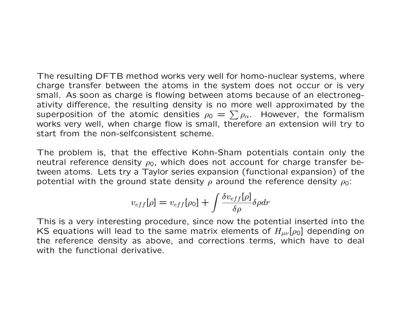The resulting DFTB method works very well for homo-nuclear systems, where charge transfer between the atoms in the system does not occur or is very small. As soon as charge is flowing between atoms because of an electronegativity difference, the resulting density is no more well approximated by the superposition of the atomic densities  $\rho_0\,=\,\sum \rho_\alpha.$  However, the formalism works very well, when charge flow is small, therefore an extension will try to start from the non-selfconsistent scheme.

The problem is, that the effective Kohn-Sham potentials contain only the neutral reference density  $\rho_0$ , which does not account for charge transfer between atoms. Lets try a Taylor series expansion (functional expansion) of the potential with the ground state density  $\rho$  around the reference density  $\rho_0$ :

$$
v_{eff}[\rho] = v_{eff}[\rho_0] + \int \frac{\delta v_{eff}[\rho]}{\delta \rho} \delta \rho dr
$$

This is a very interesting procedure, since now the potential inserted into the KS equations will lead to the same matrix elements of  $H_{\mu\nu}[\rho_0]$  depending on the reference density as above, and corrections terms, which have to deal with the functional derivative.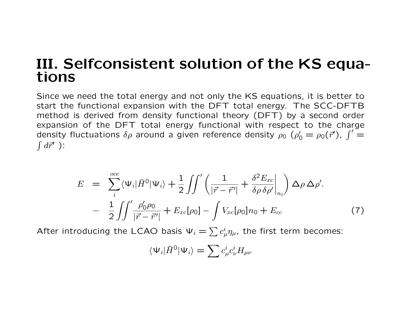## III. Selfconsistent solution of the KS equations

Since we need the total energy and not only the KS equations, it is better to start the functional expansion with the DFT total energy. The SCC-DFTB method is derived from density functional theory (DFT) by a second order expansion of the DFT total energy functional with respect to the charge density fluctuations  $\delta \rho$  around a given reference density  $\rho_0$  ( $\rho'_0 = \rho_0(\vec{r}')$ ,  $\int' =$  $\int d\vec{r}'$  ):

$$
E = \sum_{i}^{occ} \langle \Psi_i | \hat{H}^0 | \Psi_i \rangle + \frac{1}{2} \iint' \left( \frac{1}{|\vec{r} - \vec{r}'|} + \frac{\delta^2 E_{xc}}{\delta \rho \delta \rho'} \Big|_{n_0} \right) \Delta \rho \Delta \rho'.
$$
  
- 
$$
\frac{1}{2} \iint' \frac{\rho'_0 \rho_0}{|\vec{r} - \vec{r}'|} + E_{xc}[\rho_0] - \int V_{xc}[\rho_0] n_0 + E_{cc}
$$
 (7)

After introducing the LCAO basis  $\Psi_i = \sum c^i_\mu \eta_\mu$ , the first term becomes:

$$
\langle \Psi_i | \hat{H}^0 | \Psi_i \rangle = \sum c^i_\mu c^i_\nu H_{\mu\nu}
$$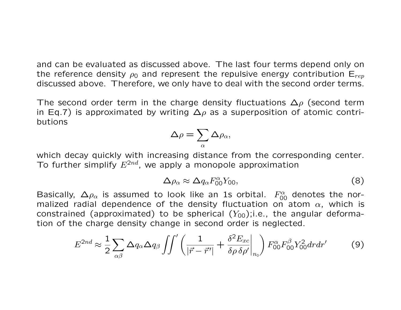and can be evaluated as discussed above. The last four terms depend only on the reference density  $\rho_0$  and represent the repulsive energy contribution  $E_{ren}$ discussed above. Therefore, we only have to deal with the second order terms.

The second order term in the charge density fluctuations  $\Delta \rho$  (second term in Eq.7) is approximated by writing  $\Delta \rho$  as a superposition of atomic contributions

$$
\Delta \rho = \sum_{\alpha} \Delta \rho_{\alpha},
$$

which decay quickly with increasing distance from the corresponding center. To further simplify  $E^{2nd}$ , we apply a monopole approximation

$$
\Delta \rho_\alpha \approx \Delta q_\alpha F_{00}^\alpha Y_{00},\tag{8}
$$

Basically,  $\Delta \rho_{\alpha}$  is assumed to look like an 1s orbital.  $F^{\alpha}_{00}$  denotes the normalized radial dependence of the density fluctuation on atom  $\alpha$ , which is constrained (approximated) to be spherical  $(Y_{00})$ ;i.e., the angular deformation of the charge density change in second order is neglected.

$$
E^{2nd} \approx \frac{1}{2} \sum_{\alpha\beta} \Delta q_{\alpha} \Delta q_{\beta} \iint' \left( \frac{1}{|\vec{r} - \vec{r}'|} + \frac{\delta^2 E_{xc}}{\delta \rho \delta \rho'} \bigg|_{n_0} \right) F_{00}^{\alpha} F_{00}^{\beta} Y_{00}^2 dr dr' \tag{9}
$$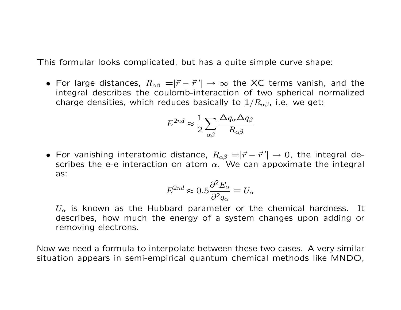This formular looks complicated, but has a quite simple curve shape:

• For large distances,  $R_{\alpha\beta} = |\vec{r}-\vec{r}^{\,\prime}| \rightarrow \infty$  the XC terms vanish, and the integral describes the coulomb-interaction of two spherical normalized charge densities, which reduces basically to  $1/R_{\alpha\beta}$ , i.e. we get:

$$
E^{2nd} \approx \frac{1}{2} \sum_{\alpha\beta} \frac{\Delta q_\alpha \Delta q_\beta}{R_{\alpha\beta}}
$$

• For vanishing interatomic distance,  $R_{\alpha\beta} = |\vec{r} - \vec{r}^{\,\prime}| \rightarrow 0$ , the integral describes the e-e interaction on atom  $\alpha$ . We can appoximate the integral as:

$$
E^{2nd} \approx 0.5 \frac{\partial^2 E_{\alpha}}{\partial^2 q_{\alpha}} = U_{\alpha}
$$

 $U_{\alpha}$  is known as the Hubbard parameter or the chemical hardness. It describes, how much the energy of a system changes upon adding or removing electrons.

Now we need a formula to interpolate between these two cases. A very similar situation appears in semi-empirical quantum chemical methods like MNDO,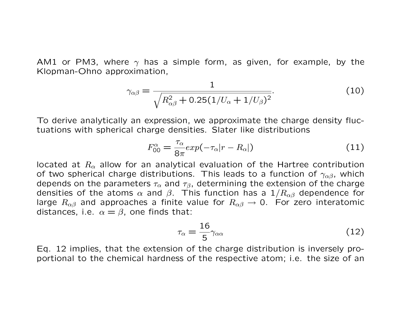AM1 or PM3, where  $\gamma$  has a simple form, as given, for example, by the Klopman-Ohno approximation,

$$
\gamma_{\alpha\beta} = \frac{1}{\sqrt{R_{\alpha\beta}^2 + 0.25(1/U_{\alpha} + 1/U_{\beta})^2}}.
$$
\n(10)

To derive analytically an expression, we approximate the charge density fluctuations with spherical charge densities. Slater like distributions

$$
F_{00}^{\alpha} = \frac{\tau_{\alpha}}{8\pi} exp(-\tau_{\alpha}|r - R_{\alpha}|)
$$
 (11)

located at  $R_{\alpha}$  allow for an analytical evaluation of the Hartree contribution of two spherical charge distributions. This leads to a function of  $\gamma_{\alpha\beta}$ , which depends on the parameters  $\tau_{\alpha}$  and  $\tau_{\beta}$ , determining the extension of the charge densities of the atoms  $\alpha$  and  $\beta$ . This function has a  $1/R_{\alpha\beta}$  dependence for large  $R_{\alpha\beta}$  and approaches a finite value for  $R_{\alpha\beta} \rightarrow 0$ . For zero interatomic distances, i.e.  $\alpha = \beta$ , one finds that:

$$
\tau_{\alpha} = \frac{16}{5} \gamma_{\alpha\alpha} \tag{12}
$$

Eq. 12 implies, that the extension of the charge distribution is inversely proportional to the chemical hardness of the respective atom; i.e. the size of an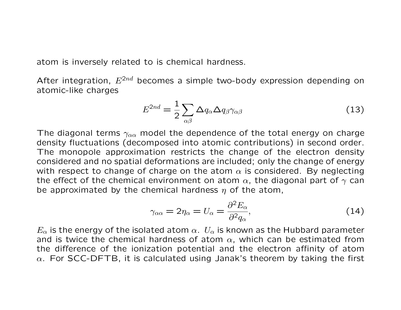atom is inversely related to is chemical hardness.

After integration,  $E^{2nd}$  becomes a simple two-body expression depending on atomic-like charges

$$
E^{2nd} = \frac{1}{2} \sum_{\alpha \beta} \Delta q_{\alpha} \Delta q_{\beta} \gamma_{\alpha \beta} \tag{13}
$$

The diagonal terms  $\gamma_{\alpha\alpha}$  model the dependence of the total energy on charge density fluctuations (decomposed into atomic contributions) in second order. The monopole approximation restricts the change of the electron density considered and no spatial deformations are included; only the change of energy with respect to change of charge on the atom  $\alpha$  is considered. By neglecting the effect of the chemical environment on atom  $\alpha$ , the diagonal part of  $\gamma$  can be approximated by the chemical hardness  $\eta$  of the atom,

$$
\gamma_{\alpha\alpha} = 2\eta_{\alpha} = U_{\alpha} = \frac{\partial^2 E_{\alpha}}{\partial^2 q_{\alpha}},\tag{14}
$$

 $E_{\alpha}$  is the energy of the isolated atom  $\alpha$ .  $U_{\alpha}$  is known as the Hubbard parameter and is twice the chemical hardness of atom  $\alpha$ , which can be estimated from the difference of the ionization potential and the electron affinity of atom  $\alpha$ . For SCC-DFTB, it is calculated using Janak's theorem by taking the first